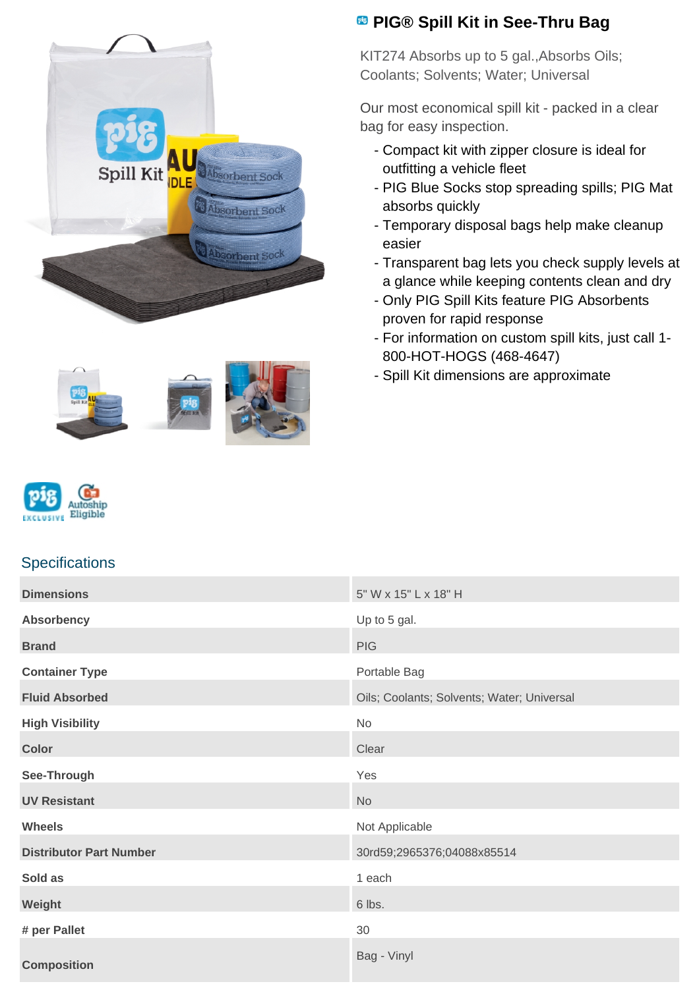





## **Specifications**

## **Dimensions** 5" W x 15" L x 18" H **Absorbency** Up to 5 gal. **Brand** PIG **PIG Container Type Portable Bag Fluid Absorbed Coolants: Solvents: Water: Universal** Oils; Coolants; Solvents; Water; Universal **High Visibility** No **Color** Clear Clear Clear Clear Clear Clear Clear Clear Clear Clear **See-Through** Yes **UV Resistant** No. 2008. The Second Second Second Second Second Second Second Second Second Second Second Second Second Second Second Second Second Second Second Second Second Second Second Second Second Second Second Seco **Wheels** Not Applicable **Distributor Part Number** 30rd59;2965376;04088x85514 **Sold as** 1 each **Weight** 6 lbs. **# per Pallet** 30 **Composition** Bag - Vinyl

## **PIG® Spill Kit in See-Thru Bag**

KIT274 Absorbs up to 5 gal.,Absorbs Oils; Coolants; Solvents; Water; Universal

Our most economical spill kit - packed in a clear bag for easy inspection.

- Compact kit with zipper closure is ideal for outfitting a vehicle fleet
- PIG Blue Socks stop spreading spills; PIG Mat absorbs quickly
- Temporary disposal bags help make cleanup easier
- Transparent bag lets you check supply levels at a glance while keeping contents clean and dry
- Only PIG Spill Kits feature PIG Absorbents proven for rapid response
- For information on custom spill kits, just call 1-800-HOT-HOGS (468-4647)
- Spill Kit dimensions are approximate